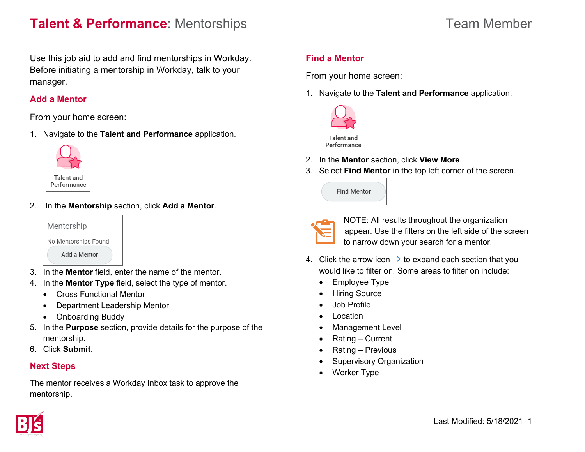## **Talent & Performance**: Mentorships Team Member

Use this job aid to add and find mentorships in Workday. Before initiating a mentorship in Workday, talk to your manager.

#### **Add a Mentor**

From your home screen:

1. Navigate to the **Talent and Performance** application.



2. In the **Mentorship** section, click **Add a Mentor**.



- 3. In the **Mentor** field, enter the name of the mentor.
- 4. In the **Mentor Type** field, select the type of mentor.
	- Cross Functional Mentor
	- Department Leadership Mentor
	- Onboarding Buddy
- 5. In the **Purpose** section, provide details for the purpose of the mentorship.
- 6. Click **Submit**.

### **Next Steps**

The mentor receives a Workday Inbox task to approve the mentorship.

## **Find a Mentor**

From your home screen:

1. Navigate to the **Talent and Performance** application.



- 2. In the **Mentor** section, click **View More**.
- 3. Select **Find Mentor** in the top left corner of the screen.

| <b>Find Mentor</b> |  |
|--------------------|--|
|                    |  |



NOTE: All results throughout the organization appear. Use the filters on the left side of the screen to narrow down your search for a mentor.

- 4. Click the arrow icon  $\rightarrow$  to expand each section that you would like to filter on. Some areas to filter on include:
	- Employee Type
	- Hiring Source
	- Job Profile
	- Location
	- Management Level
	- Rating Current
	- Rating Previous
	- Supervisory Organization
	- Worker Type